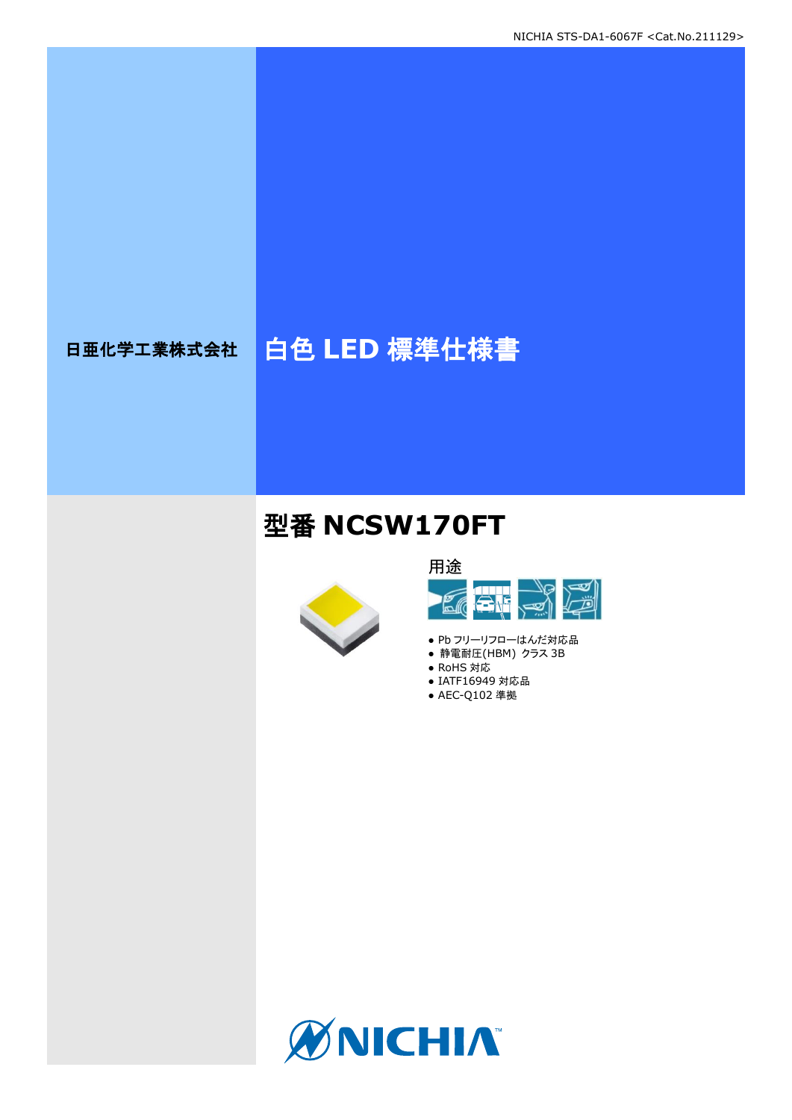# 日亜化学工業株式会社 | 白色 LED 標準仕様書

## 型番 **NCSW170FT**





- Pb フリーリフローはんだ対応品
- 静電耐圧(HBM) クラス 3B
- RoHS 対応
- IATF16949 対応品
- AEC-Q102 準拠

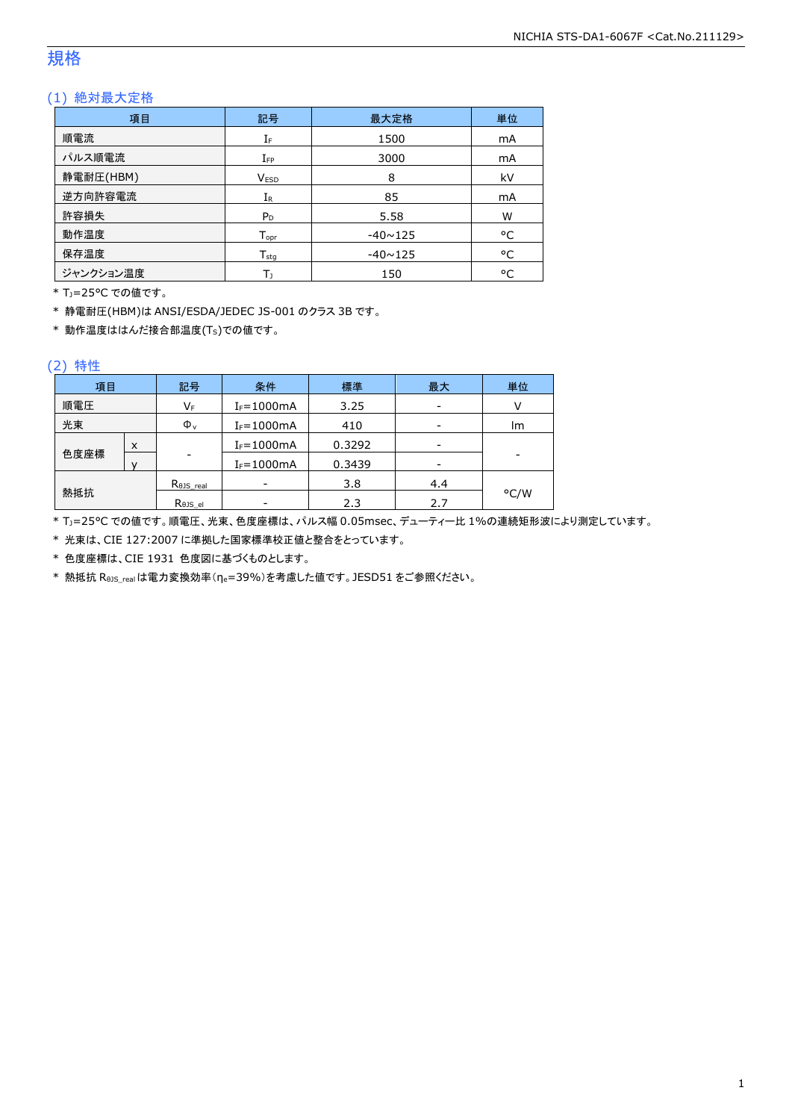### 規格

### (1) 絶対最大定格

| 項目        | 記号                         | 最大定格           | 単位 |
|-----------|----------------------------|----------------|----|
| 順電流       | IF                         | 1500           | mA |
| パルス順電流    | $I_{FP}$                   | 3000           | mA |
| 静電耐圧(HBM) | <b>VESD</b>                | 8              | kV |
| 逆方向許容電流   | $I_{R}$                    | 85             | mA |
| 許容損失      | P <sub>D</sub>             | 5.58           | W  |
| 動作温度      | $T_{\text{opt}}$           | $-40 \sim 125$ | °C |
| 保存温度      | ${\mathsf T}_{\text{sta}}$ | $-40 \sim 125$ | °C |
| ジャンクション温度 | Т١                         | 150            | °C |

\* TJ=25°C での値です。

\* 静電耐圧(HBM)は ANSI/ESDA/JEDEC JS-001 のクラス 3B です。

\* 動作温度ははんだ接合部温度(TS)での値です。

#### (2) 特性

| 項目   | 条件<br>標準<br>記号 |                    |                | 最大     | 単位  |      |
|------|----------------|--------------------|----------------|--------|-----|------|
| 順電圧  |                | VF                 | $I_F = 1000mA$ | 3.25   |     |      |
| 光束   |                | $\Phi_{v}$         | $I_F = 1000mA$ | 410    | -   | lm   |
|      | X              |                    | $I_F = 1000mA$ | 0.3292 |     |      |
| 色度座標 |                | ۰                  | $I_F = 1000mA$ | 0.3439 | -   | -    |
|      |                | $R0JS$ real        |                | 3.8    | 4.4 |      |
| 熱抵抗  |                | $R_{\theta}$ JS_el |                | 2.3    | 2.7 | °C/W |

\* TJ=25°C での値です。順電圧、光束、色度座標は、パルス幅 0.05msec、デューティー比 1%の連続矩形波により測定しています。

\* 光束は、CIE 127:2007 に準拠した国家標準校正値と整合をとっています。

\* 色度座標は、CIE 1931 色度図に基づくものとします。

\* 熱抵抗 RθJS\_realは電力変換効率(ηe=39%)を考慮した値です。JESD51 をご参照ください。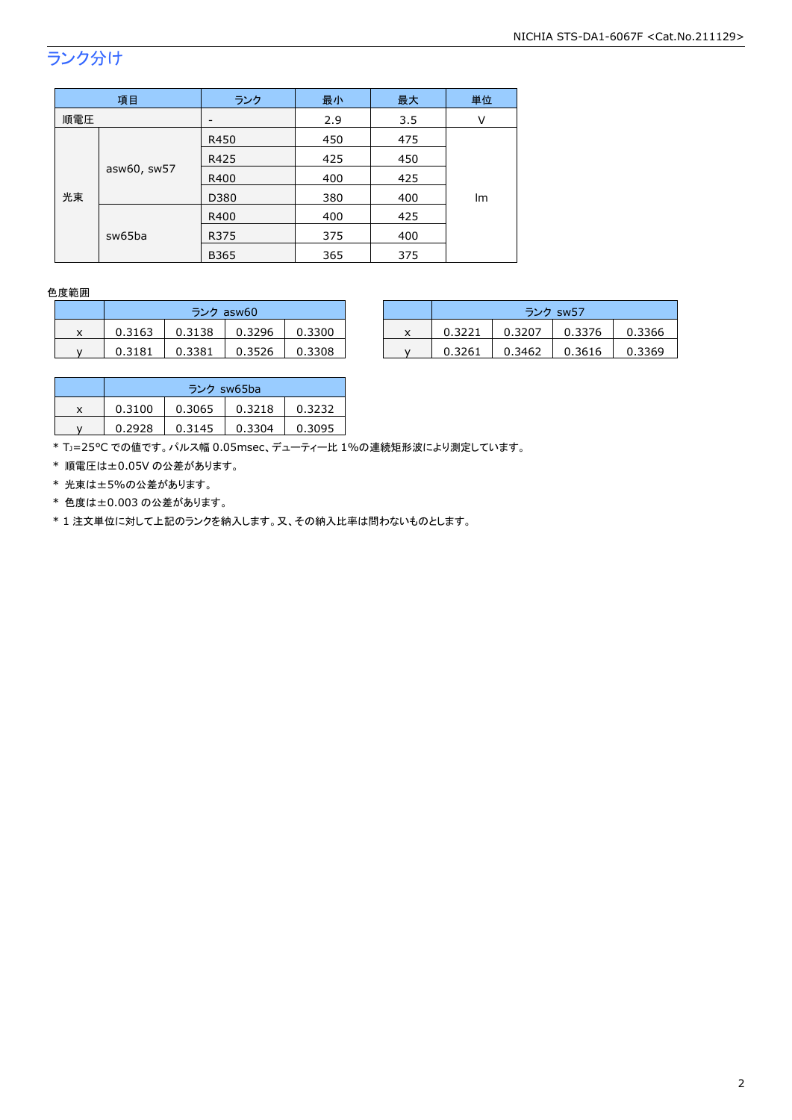## ランク分け

| 項目                |        | ランク  | 最小  | 最大  | 単位 |
|-------------------|--------|------|-----|-----|----|
| 順電圧               |        | -    | 2.9 | 3.5 | V  |
|                   | R450   | 450  | 475 |     |    |
|                   |        | R425 | 425 | 450 |    |
| asw60, sw57<br>光束 | R400   | 400  | 425 |     |    |
|                   | D380   | 380  | 400 | lm  |    |
|                   |        | R400 | 400 | 425 |    |
|                   | sw65ba | R375 | 375 | 400 |    |
|                   |        | B365 | 365 | 375 |    |

#### 色度範囲

|   | ランク asw60 |        |        |        |  |  |
|---|-----------|--------|--------|--------|--|--|
| x | 0.3163    | 0.3138 | 0.3296 | 0.3300 |  |  |
|   | 0.3181    | 0.3381 | 0.3526 | 0.3308 |  |  |

|   | ランク asw60 |        |        |        |  |        | ランク sw57 |        |        |
|---|-----------|--------|--------|--------|--|--------|----------|--------|--------|
| x | 0.3163    | 0.3138 | 0.3296 | 0.3300 |  | 0.3221 | 0.3207   | 0.3376 | 0.3366 |
|   | 0.3181    | 0.3381 | 0.3526 | 0.3308 |  | 0.3261 | 0.3462   | 0.3616 | 0.3369 |

|   | ランク sw65ba |        |        |        |  |  |
|---|------------|--------|--------|--------|--|--|
| x | 0.3100     | 0.3065 | 0.3218 | 0.3232 |  |  |
|   | 0.2928     | 0.3145 | 0.3304 | 0.3095 |  |  |

\* TJ=25°C での値です。パルス幅 0.05msec、デューティー比 1%の連続矩形波により測定しています。

\* 順電圧は±0.05V の公差があります。

\* 光束は±5%の公差があります。

\* 色度は±0.003 の公差があります。

\* 1 注文単位に対して上記のランクを納入します。又、その納入比率は問わないものとします。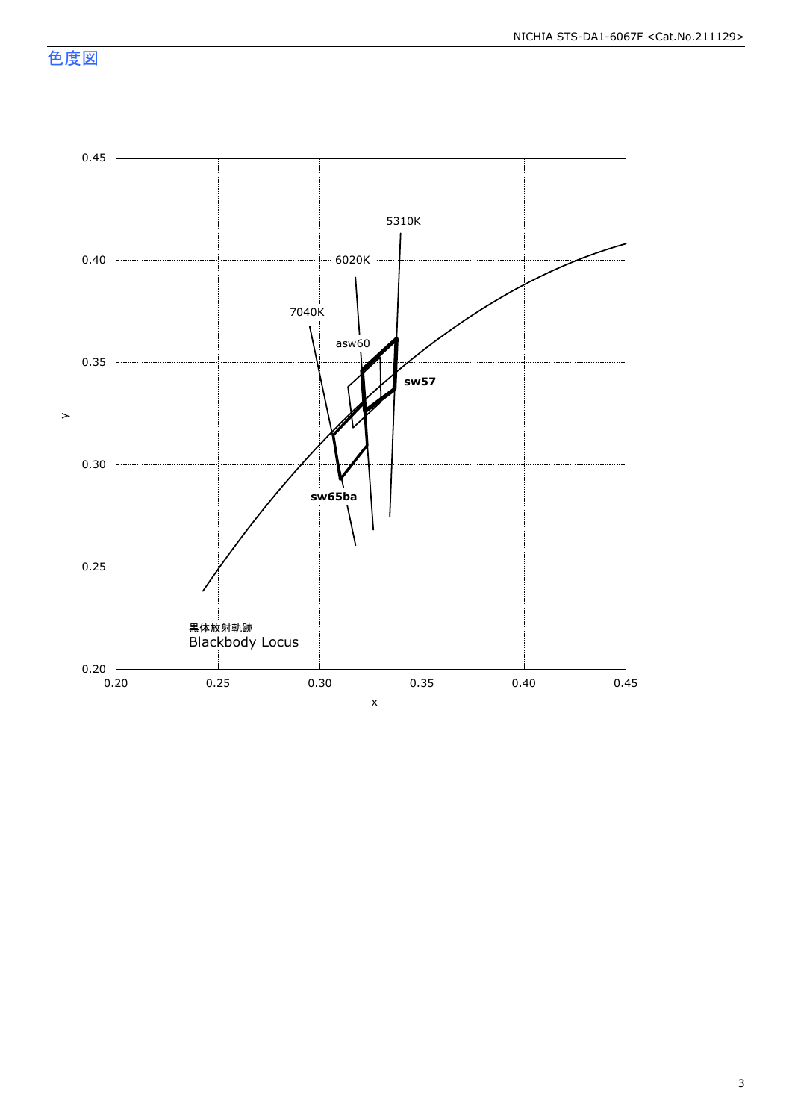色度図

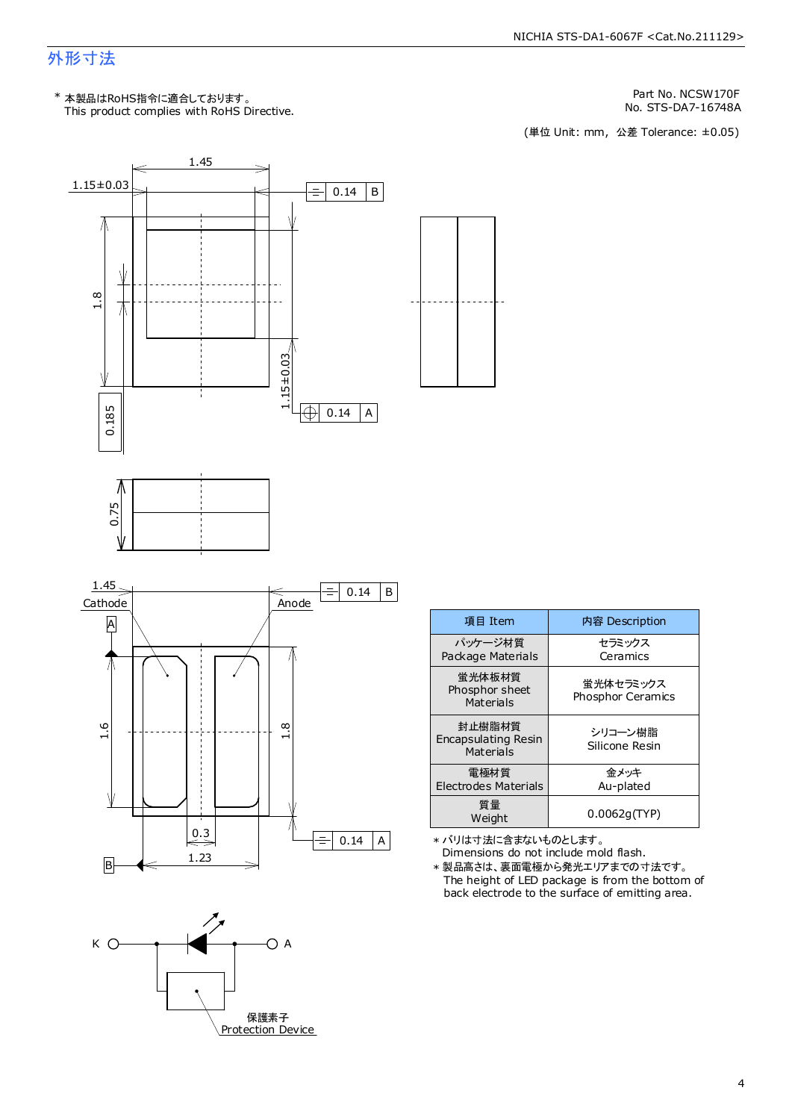### 外形寸法

This product complies with RoHS Directive. \* 本製品はRoHS指令に適合しております。

Part No. NCSW170F

No. STS-DA7-16748A<br>(単位 Unit: mm, 公差 Tolerance: ±0.05)



保護素子 Protection Device

| 項目 Item                                           | 内容 Description                 |
|---------------------------------------------------|--------------------------------|
| パッケージ材質<br>Package Materials                      | セラミックス<br>Ceramics             |
| 常光体板材質<br>Phosphor sheet<br>Materials             | 蛍光体セラミックス<br>Phosphor Ceramics |
| 封止樹脂材質<br><b>Encapsulating Resin</b><br>Materials | シリコーン樹脂<br>Silicone Resin      |
| 雷極材質<br>Electrodes Materials                      | 金メッキ<br>Au-plated              |
| 質量<br>Weight                                      | 0.0062q(TYP)                   |
|                                                   |                                |

\* バリは寸法に含まないものとします。

Dimensions do not include mold flash. \* 製品高さは、裏面電極から発光エリアまでの寸法です。

The height of LED package is from the bottom of back electrode to the surface of emitting area.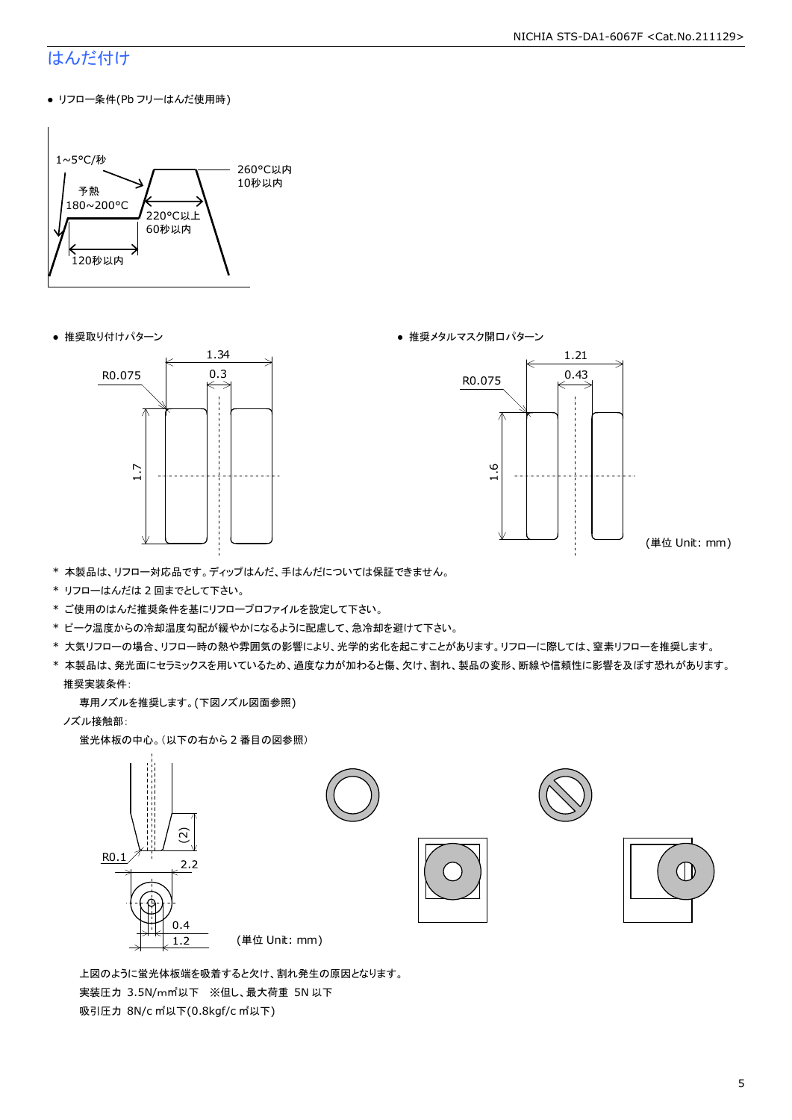#### NICHIA STS-DA1-6067F <Cat.No.211129>

### はんだ付け

● リフロー条件(Pb フリーはんだ使用時)







(単位 Unit: mm)

- \* 本製品は、リフロー対応品です。ディップはんだ、手はんだについては保証できません。
- \* リフローはんだは 2 回までとして下さい。
- \* ご使用のはんだ推奨条件を基にリフロープロファイルを設定して下さい。
- \* ピーク温度からの冷却温度勾配が緩やかになるように配慮して、急冷却を避けて下さい。
- \* 大気リフローの場合、リフロー時の熱や雰囲気の影響により、光学的劣化を起こすことがあります。リフローに際しては、窒素リフローを推奨します。
- \* 本製品は、発光面にセラミックスを用いているため、過度な力が加わると傷、欠け、割れ、製品の変形、断線や信頼性に影響を及ぼす恐れがあります。 推奨実装条件:

専用ノズルを推奨します。(下図ノズル図面参照)

ノズル接触部:

蛍光体板の中心。(以下の右から 2 番目の図参照)



 上図のように蛍光体板端を吸着すると欠け、割れ発生の原因となります。 実装圧力 3.5N/m㎡以下 ※但し、最大荷重 5N 以下 吸引圧力 8N/c ㎡以下(0.8kgf/c ㎡以下)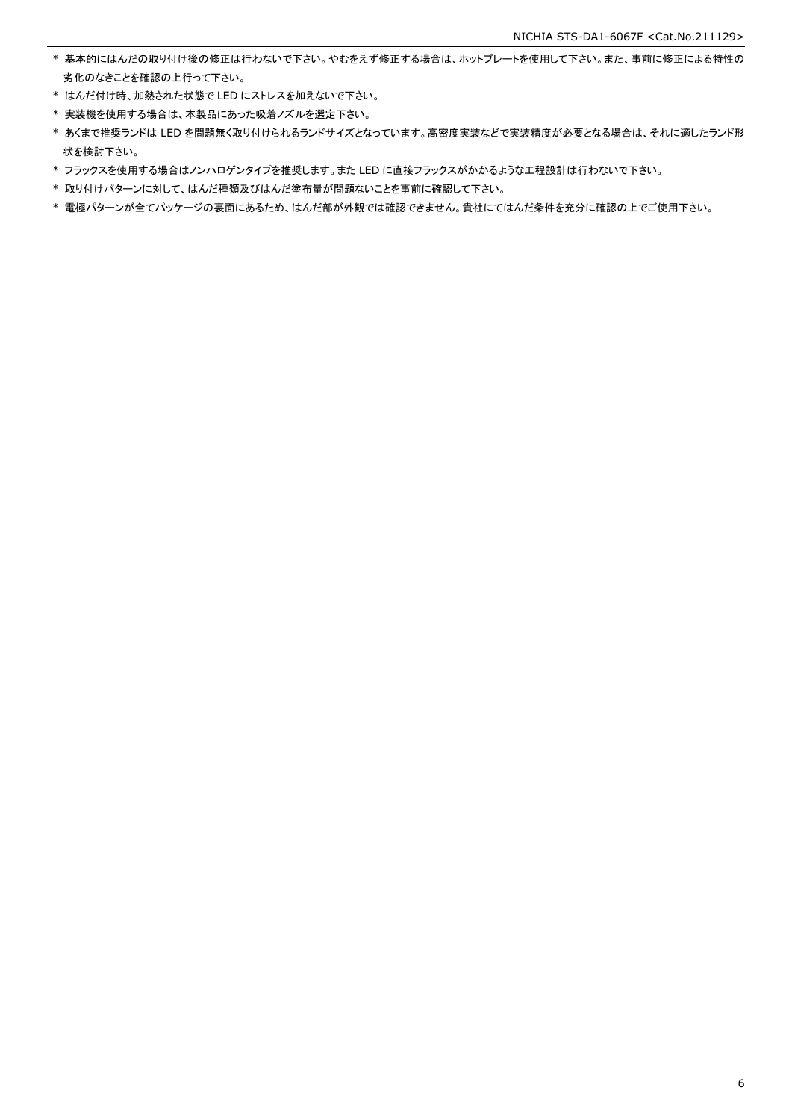- \* 基本的にはんだの取り付け後の修正は行わないで下さい。やむをえず修正する場合は、ホットプレートを使用して下さい。また、事前に修正による特性の 劣化のなきことを確認の上行って下さい。
- \* はんだ付け時、加熱された状態で LED にストレスを加えないで下さい。
- \* 実装機を使用する場合は、本製品にあった吸着ノズルを選定下さい。
- \* あくまで推奨ランドは LED を問題無く取り付けられるランドサイズとなっています。高密度実装などで実装精度が必要となる場合は、それに適したランド形 状を検討下さい。
- \* フラックスを使用する場合はノンハロゲンタイプを推奨します。また LED に直接フラックスがかかるような工程設計は行わないで下さい。
- \* 取り付けパターンに対して、はんだ種類及びはんだ塗布量が問題ないことを事前に確認して下さい。
- \* 電極パターンが全てパッケージの裏面にあるため、はんだ部が外観では確認できません。貴社にてはんだ条件を充分に確認の上でご使用下さい。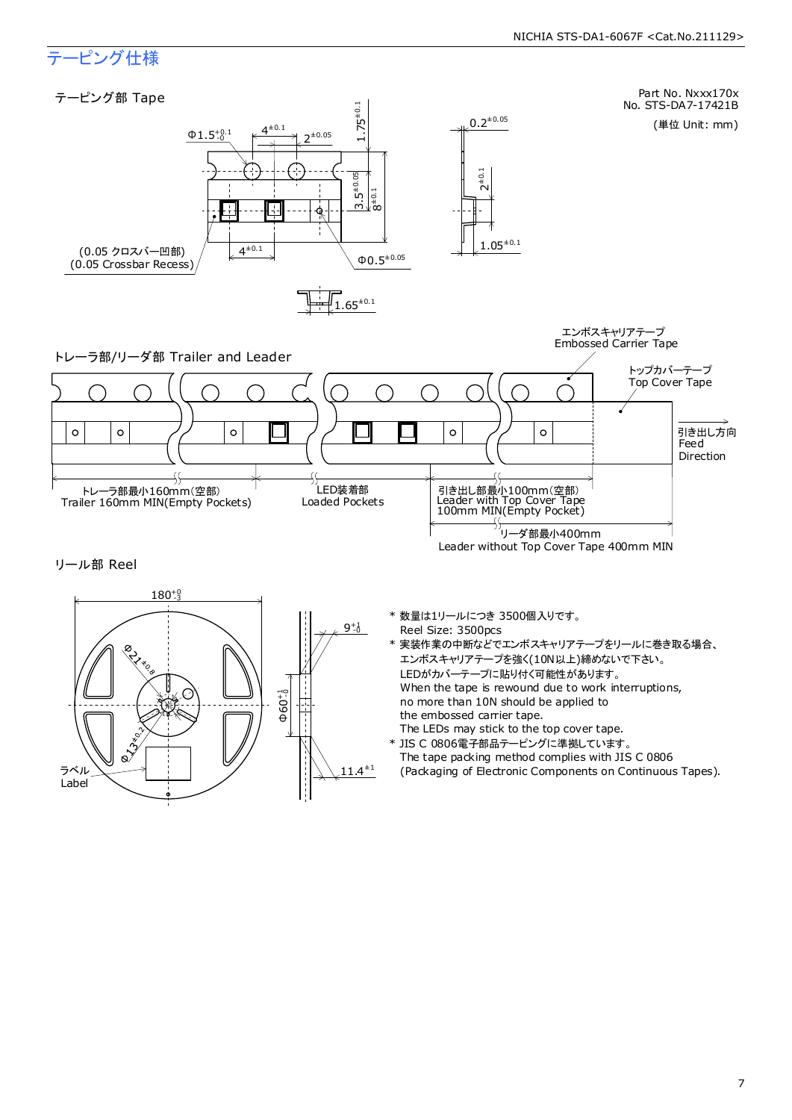### テーピング仕様

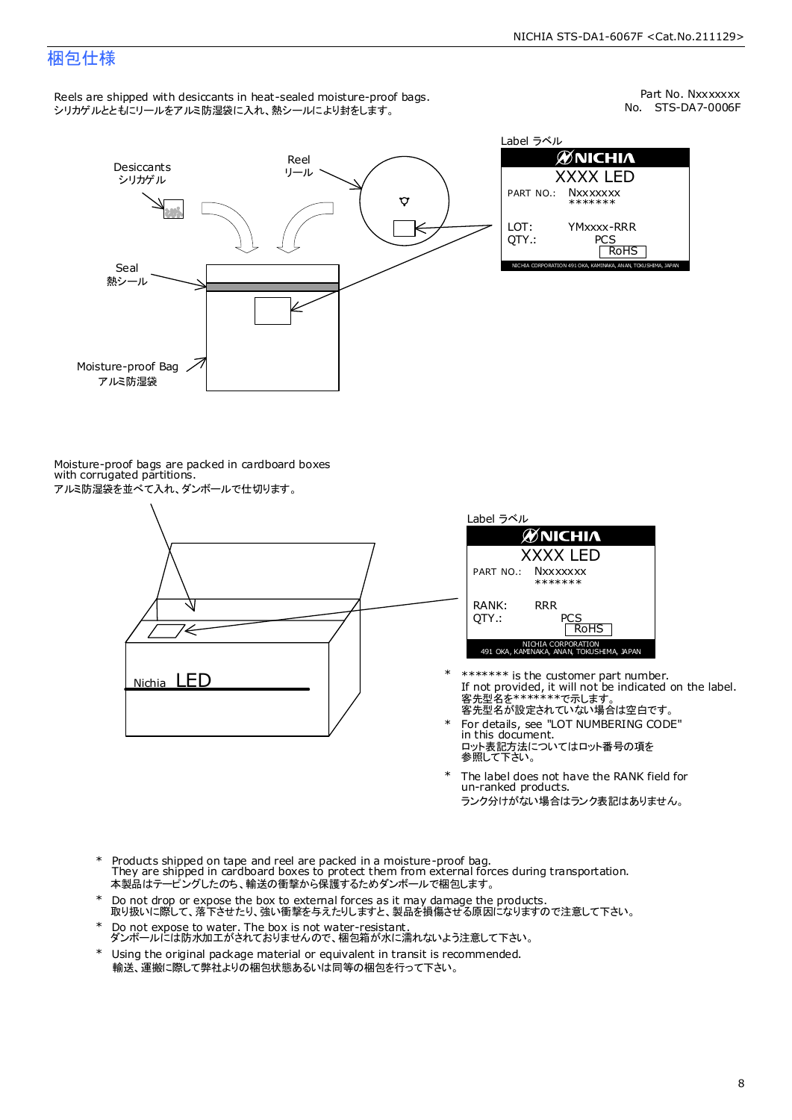### 梱包仕様

Reels are shipped with desiccants in heat-sealed moisture-proof bags. シリカゲルとともにリールをアルミ防湿袋に入れ、熱シールにより封をします。

No. STS-DA7-0006F Part No. Nxxxxxxx



| Label ラベル     |                                                              |  |  |  |  |
|---------------|--------------------------------------------------------------|--|--|--|--|
|               | <b>ØNICHIA</b>                                               |  |  |  |  |
| XXXX LED      |                                                              |  |  |  |  |
|               | PART NO.: NXXXXXXX<br>*******                                |  |  |  |  |
| LOT:<br>OTY.: | YMxxxx-RRR<br>PCS<br><b>RoHS</b>                             |  |  |  |  |
|               | NICHIA CORPORATION 491 OKA, KAMINAKA, ANAN, TOKUSHIMA, JAPAN |  |  |  |  |

Moisture-proof bags are packed in cardboard boxes with corrugated partitions. アルミ防湿袋を並べて入れ、ダンボールで仕切ります。





- 客先型名を\*\*\*\*\*\*\*\*で示します。<br>客先型名が設定されていない場合は空白です。 If not provided, it will not be indicated on the label. \*\*\*\*\*\*\* is the customer part number.
- For details, see "LOT NUMBERING CODE" in this document. ロット表記方法についてはロット番号の項を<br>参照して下さい。 \*
- The label does not have the RANK field for un-ranked products. ランク分けがない場合はランク表記はありません。 \*
- Products shipped on tape and reel are packed in a moisture-proof bag. They are shipped in cardboard boxes to protect them from external forces during transportation. 本製品はテーピングしたのち、輸送の衝撃から保護するためダンボールで梱包します。 \*
- Do not drop or expose the box to external forces as it may damage the products. 取り扱いに際して、落下させたり、強い衝撃を与えたりしますと、製品を損傷させる原因になりますので注意して下さい。 \*
- Do not expose to water. The box is not water-resistant. ダンボールには防水加工がされておりませんので、梱包箱が水に濡れないよう注意して下さい。 \*
- \* Using the original package material or equivalent in transit is recommended. 輸送、運搬に際して弊社よりの梱包状態あるいは同等の梱包を行って下さい。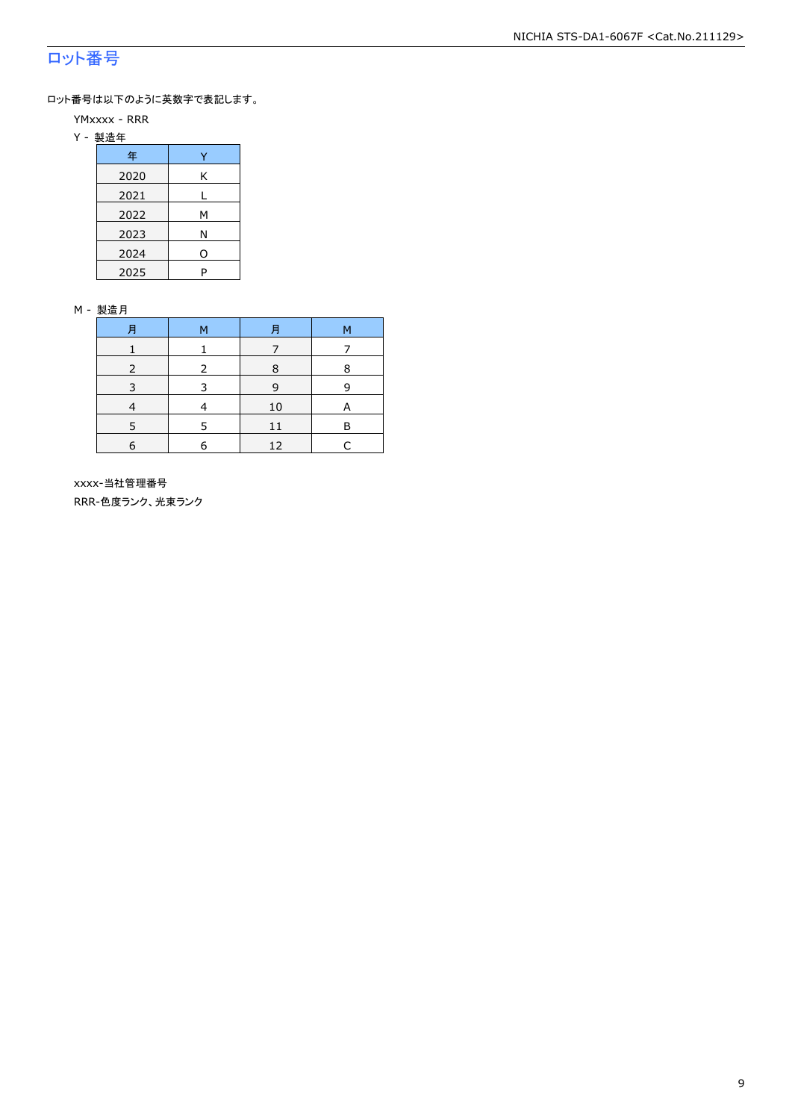### ロット番号

ロット番号は以下のように英数字で表記します。

- YMxxxx RRR
- Y 製造年

| 年    |   |
|------|---|
| 2020 | Κ |
| 2021 |   |
| 2022 | м |
| 2023 | Ν |
| 2024 | ი |
| 2025 | P |

#### M - 製造月

|   | M | F  | М |
|---|---|----|---|
|   |   |    |   |
|   | 2 | 8  | 8 |
|   |   | q  | q |
|   |   | 10 |   |
|   |   |    | в |
| 6 |   | 12 |   |

 xxxx-当社管理番号 RRR-色度ランク、光束ランク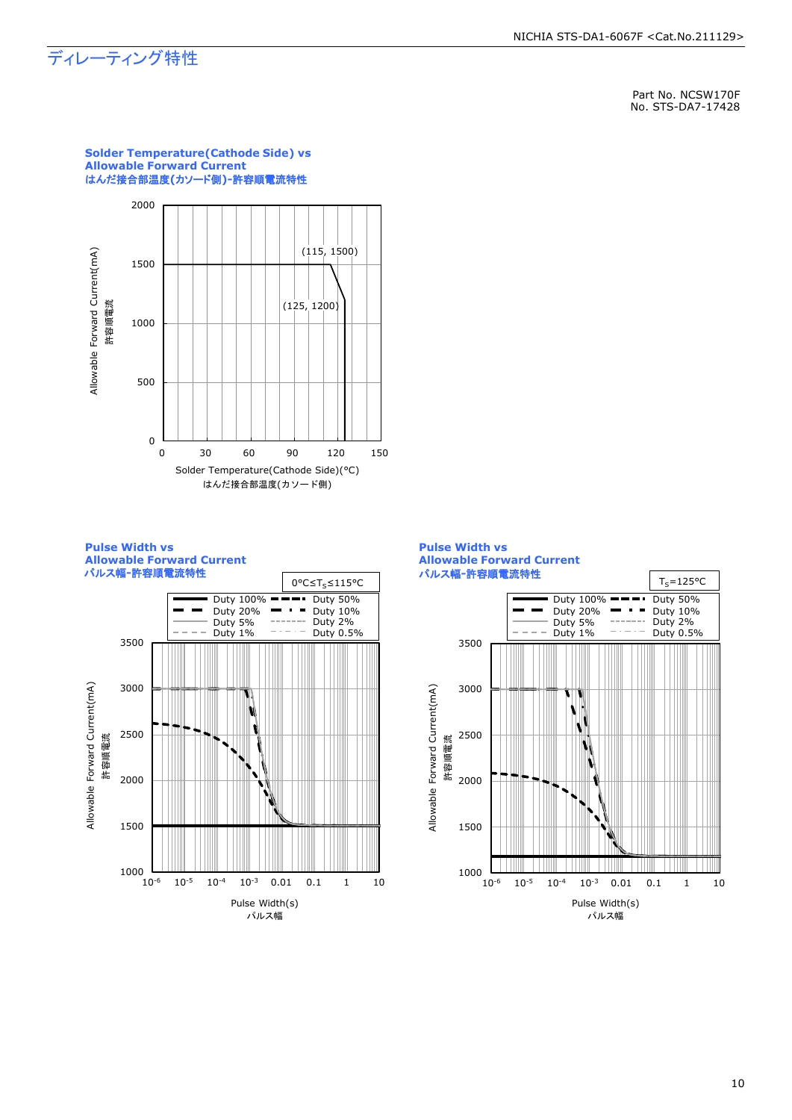### ディレーティング特性

Part No. NCSW170F No. STS-DA7-17428



**Solder Temperature(Cathode Side) vs Allowable Forward Current**





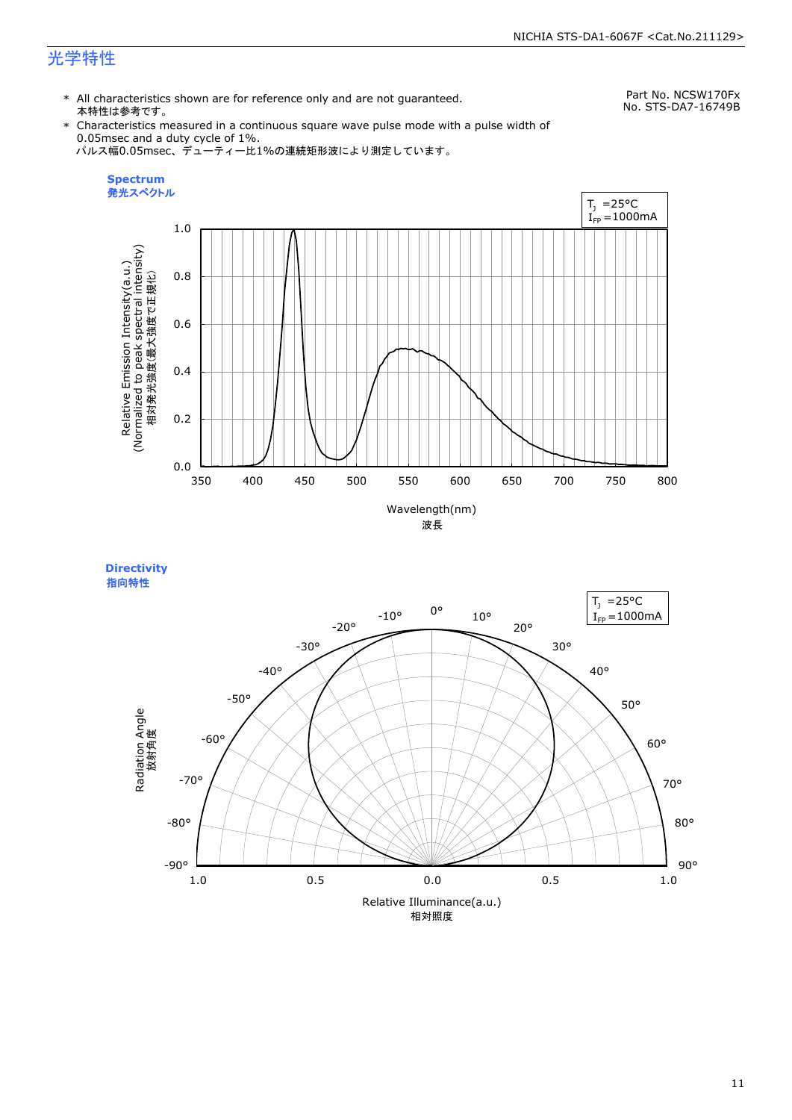### 光学特性

\* All characteristics shown are for reference only and are not guaranteed. 本特性は参考です。

Part No. NCSW170Fx No. STS-DA7-16749B

\* Characteristics measured in a continuous square wave pulse mode with a pulse width of 0.05msec and a duty cycle of 1%. パルス幅0.05msec、デューティー比1%の連続矩形波により測定しています。





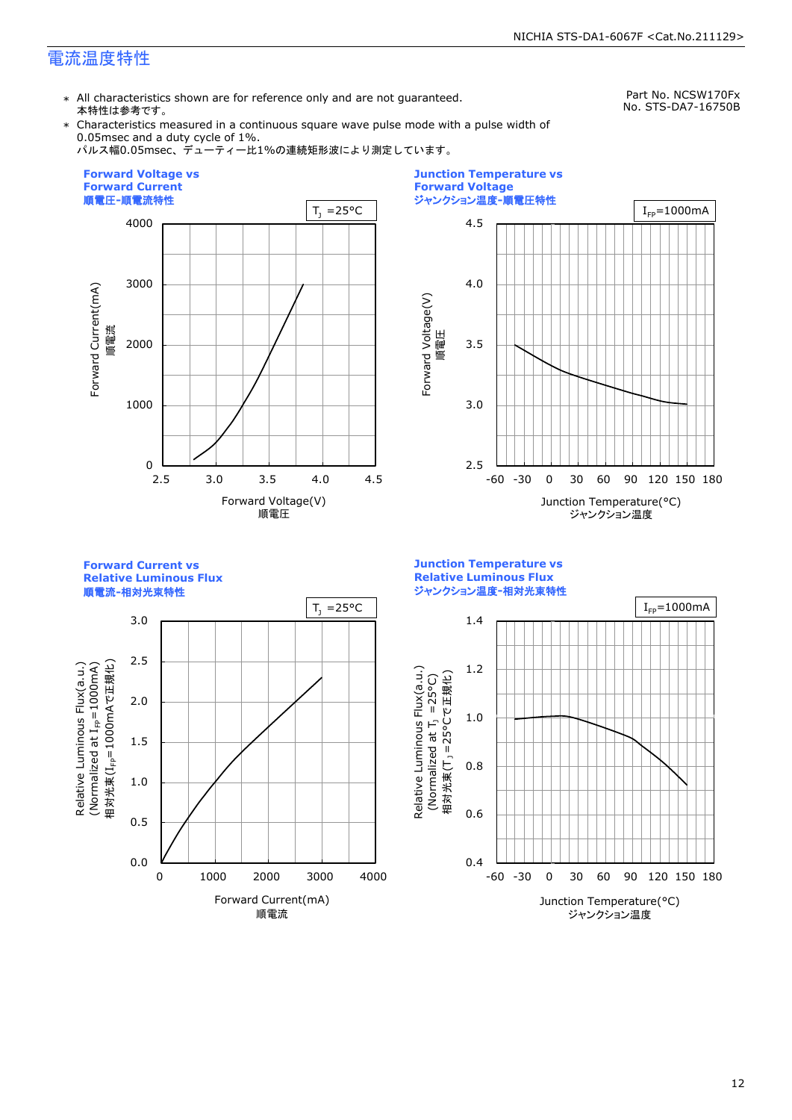### 電流温度特性

\* All characteristics shown are for reference only and are not guaranteed. 本特性は参考です。

Part No. NCSW170Fx No. STS-DA7-16750B

\* Characteristics measured in a continuous square wave pulse mode with a pulse width of 0.05msec and a duty cycle of 1%.

パルス幅0.05msec、デューティー比1%の連続矩形波により測定しています。





**Forward Current vs Relative Luminous Flux**

順電流**-**相対光束特性



**Junction Temperature vs Relative Luminous Flux** ジャンクション温度**-**相対光束特性

Relative Luminous Flux(a.u.)

Relative Luminous Flux(a.u.)

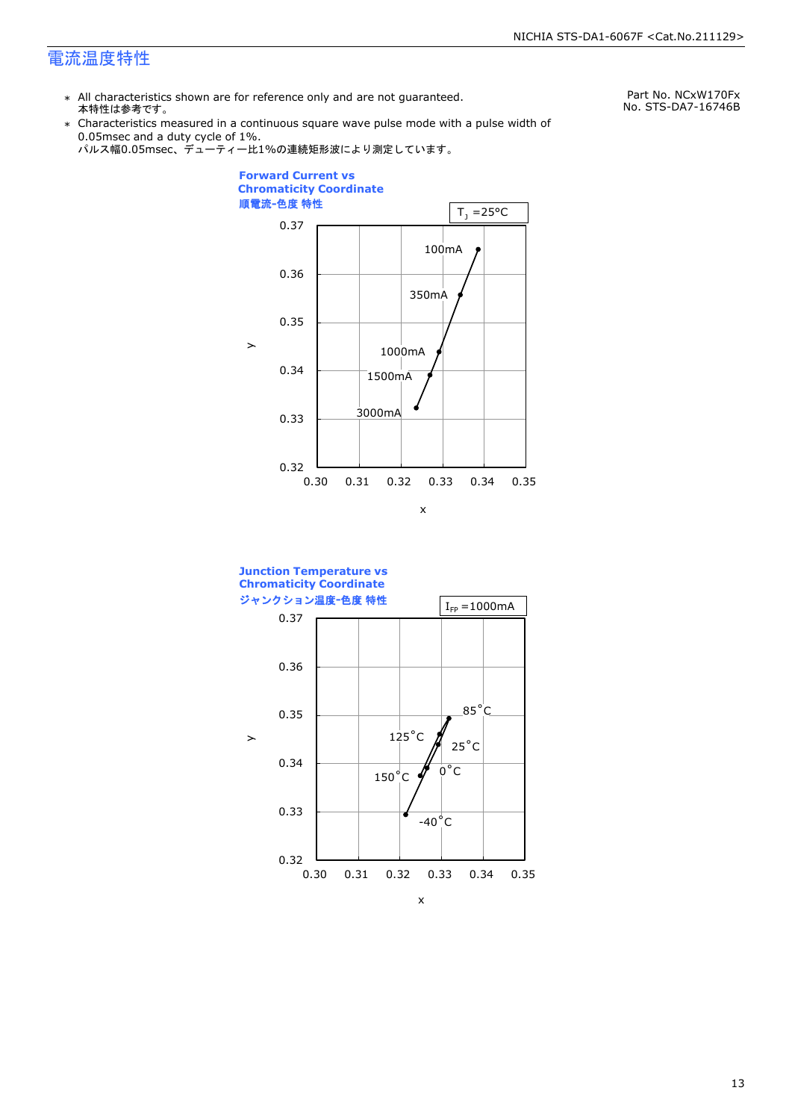### 電流温度特性

\* All characteristics shown are for reference only and are not guaranteed. 本特性は参考です。

Part No. NCxW170Fx No. STS-DA7-16746B

\* Characteristics measured in a continuous square wave pulse mode with a pulse width of 0.05msec and a duty cycle of 1%.





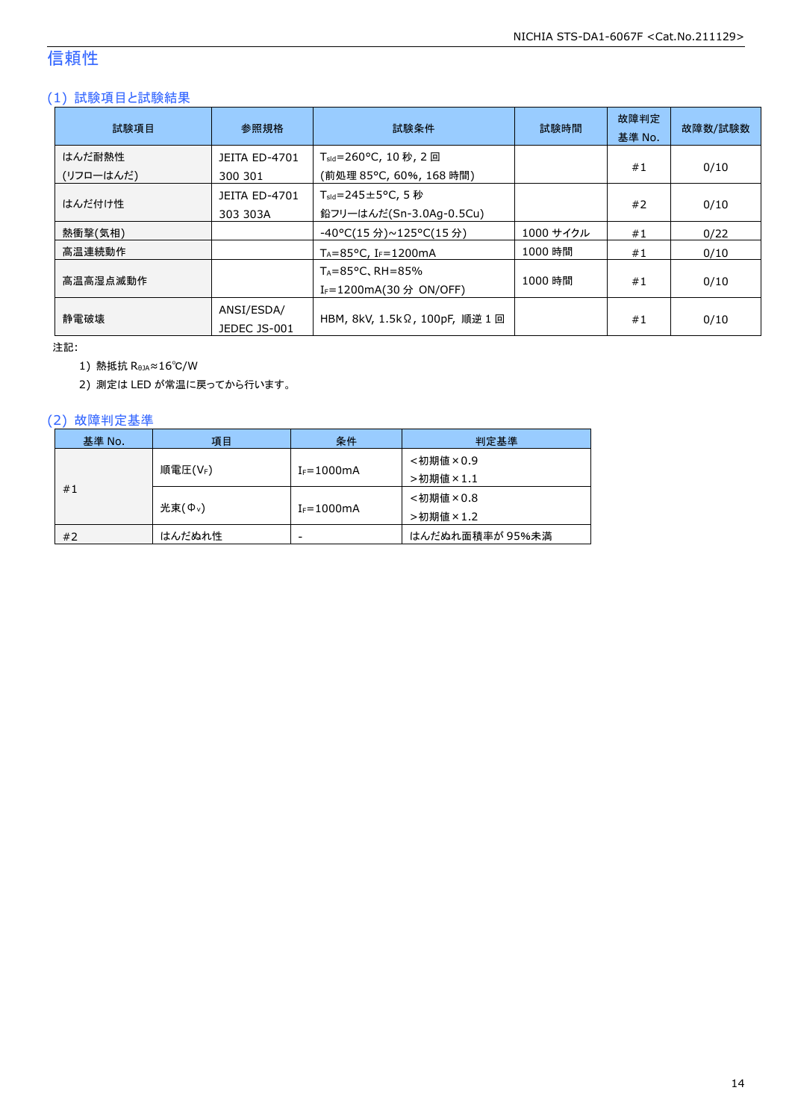### 信頼性

### (1) 試験項目と試験結果

| 試験項目                | 参照規格                             | 試験条件                                                                   | 試験時間      | 故障判定<br>基準 No. | 故障数/試験数 |
|---------------------|----------------------------------|------------------------------------------------------------------------|-----------|----------------|---------|
| はんだ耐熱性<br>(リフローはんだ) | <b>JEITA ED-4701</b><br>300 301  | T <sub>sld</sub> =260°C, 10 秒, 2 回<br>(前処理 85℃, 60%, 168 時間)           |           | #1             | 0/10    |
| はんだ付け性              | <b>JEITA ED-4701</b><br>303 303A | $T_{\text{std}} = 245 \pm 5^{\circ}$ C, 5 秒<br>鉛フリーはんだ(Sn-3.0Ag-0.5Cu) |           | #2             | 0/10    |
| 熱衝撃(気相)             |                                  | -40°C(15 分)~125°C(15 分)                                                | 1000 サイクル | #1             | 0/22    |
| 高温連続動作              |                                  | $T_A = 85^{\circ}$ C, I <sub>F</sub> =1200mA                           | 1000 時間   | #1             | 0/10    |
| 高温高湿点滅動作            |                                  | $T_A = 85^{\circ}$ C, RH = 85%<br>I <sub>F</sub> =1200mA(30 分 ON/OFF)  | 1000 時間   | #1             | 0/10    |
| 静雷破壊                | ANSI/ESDA/<br>JEDEC JS-001       | HBM, 8kV, 1.5kΩ, 100pF, 順逆 1 回                                         |           | #1             | 0/10    |

注記:

1) 熱抵抗 RθJA≈16℃/W

2) 測定は LED が常温に戻ってから行います。

### (2) 故障判定基準

| 基準 No. | 項目                 | 条件              | 判定基準            |
|--------|--------------------|-----------------|-----------------|
|        |                    |                 | <初期値×0.9        |
|        | 順電圧(VF)            | $I_F = 1000$ mA | >初期値×1.1        |
| #1     |                    |                 | <初期値×0.8        |
|        | 光束( $\Phi_{\nu}$ ) | $I_F = 1000$ mA | >初期値×1.2        |
| #2     | はんだぬれ性             | -               | はんだぬれ面積率が 95%未満 |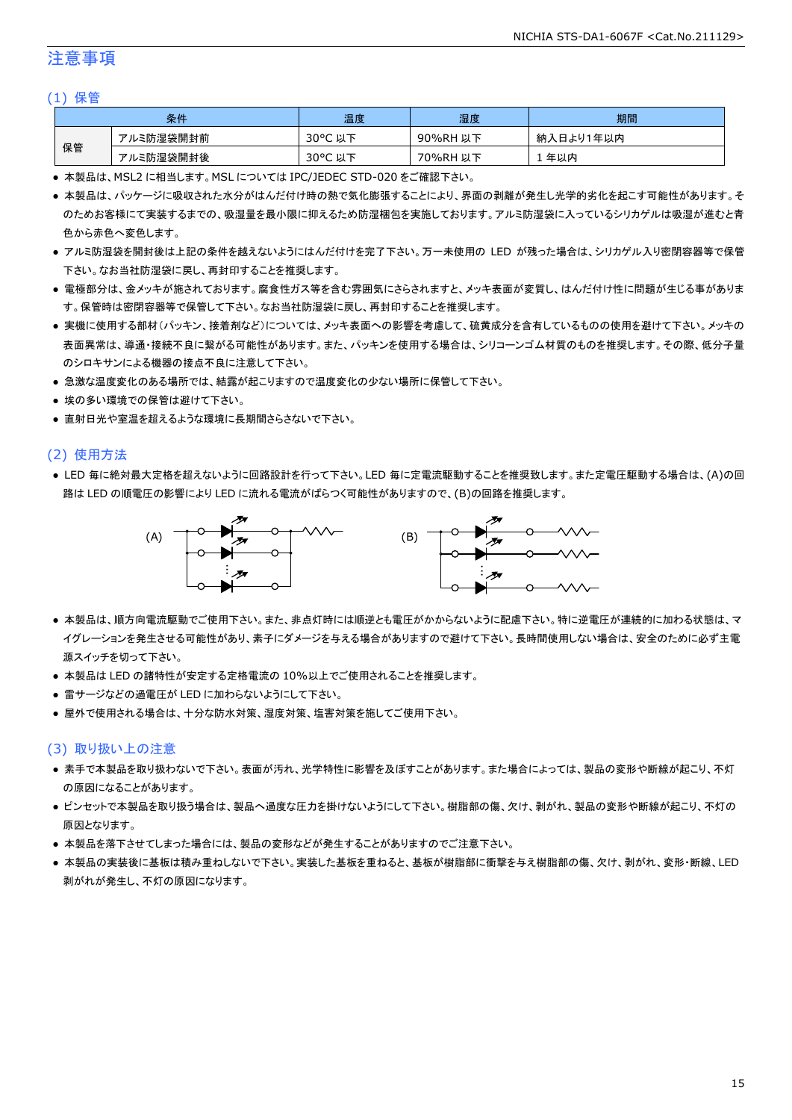### 注意事項

#### (1) 保管

| 条件 |           | 温度                                    | 湿度       | 期間        |
|----|-----------|---------------------------------------|----------|-----------|
| 保管 | アルミ防湿袋開封前 | $30^{\circ}$ C<br><del>ג</del> ו<br>以 | 90%RH 以下 | 納入日より1年以内 |
|    | アルミ防湿袋開封後 | $30^{\circ}$ C<br>以下                  | 70%RH 以下 | 年以内       |

● 本製品は、MSL2 に相当します。MSL については IPC/JEDEC STD-020 をご確認下さい。

- 本製品は、パッケージに吸収された水分がはんだ付け時の熱で気化膨張することにより、界面の剥離が発生し光学的劣化を起こす可能性があります。そ のためお客様にて実装するまでの、吸湿量を最小限に抑えるため防湿梱包を実施しております。アルミ防湿袋に入っているシリカゲルは吸湿が進むと青 色から赤色へ変色します。
- アルミ防湿袋を開封後は上記の条件を越えないようにはんだ付けを完了下さい。万一未使用の LED が残った場合は、シリカゲル入り密閉容器等で保管 下さい。なお当社防湿袋に戻し、再封印することを推奨します。
- 電極部分は、金メッキが施されております。腐食性ガス等を含む雰囲気にさらされますと、メッキ表面が変質し、はんだ付け性に問題が生じる事がありま す。保管時は密閉容器等で保管して下さい。なお当社防湿袋に戻し、再封印することを推奨します。
- 実機に使用する部材(パッキン、接着剤など)については、メッキ表面への影響を考慮して、硫黄成分を含有しているものの使用を避けて下さい。メッキの 表面異常は、導通・接続不良に繋がる可能性があります。また、パッキンを使用する場合は、シリコーンゴム材質のものを推奨します。その際、低分子量 のシロキサンによる機器の接点不良に注意して下さい。
- 急激な温度変化のある場所では、結露が起こりますので温度変化の少ない場所に保管して下さい。
- 埃の多い環境での保管は避けて下さい。
- 直射日光や室温を超えるような環境に長期間さらさないで下さい。

#### (2) 使用方法

● LED 毎に絶対最大定格を超えないように回路設計を行って下さい。LED 毎に定電流駆動することを推奨致します。また定電圧駆動する場合は、(A)の回 路は LED の順電圧の影響により LED に流れる電流がばらつく可能性がありますので、(B)の回路を推奨します。



- 本製品は、順方向電流駆動でご使用下さい。また、非点灯時には順逆とも電圧がかからないように配慮下さい。特に逆電圧が連続的に加わる状態は、マ イグレーションを発生させる可能性があり、素子にダメージを与える場合がありますので避けて下さい。長時間使用しない場合は、安全のために必ず主電 源スイッチを切って下さい。
- 本製品は LED の諸特性が安定する定格電流の 10%以上でご使用されることを推奨します。
- 雷サージなどの過電圧が LED に加わらないようにして下さい。
- 屋外で使用される場合は、十分な防水対策、湿度対策、塩害対策を施してご使用下さい。

#### (3) 取り扱い上の注意

- 素手で本製品を取り扱わないで下さい。表面が汚れ、光学特性に影響を及ぼすことがあります。また場合によっては、製品の変形や断線が起こり、不灯 の原因になることがあります。
- ピンセットで本製品を取り扱う場合は、製品へ過度な圧力を掛けないようにして下さい。樹脂部の傷、欠け、剥がれ、製品の変形や断線が起こり、不灯の 原因となります。
- 本製品を落下させてしまった場合には、製品の変形などが発生することがありますのでご注意下さい。
- 本製品の実装後に基板は積み重ねしないで下さい。実装した基板を重ねると、基板が樹脂部に衝撃を与え樹脂部の傷、欠け、剥がれ、変形・断線、LED 剥がれが発生し、不灯の原因になります。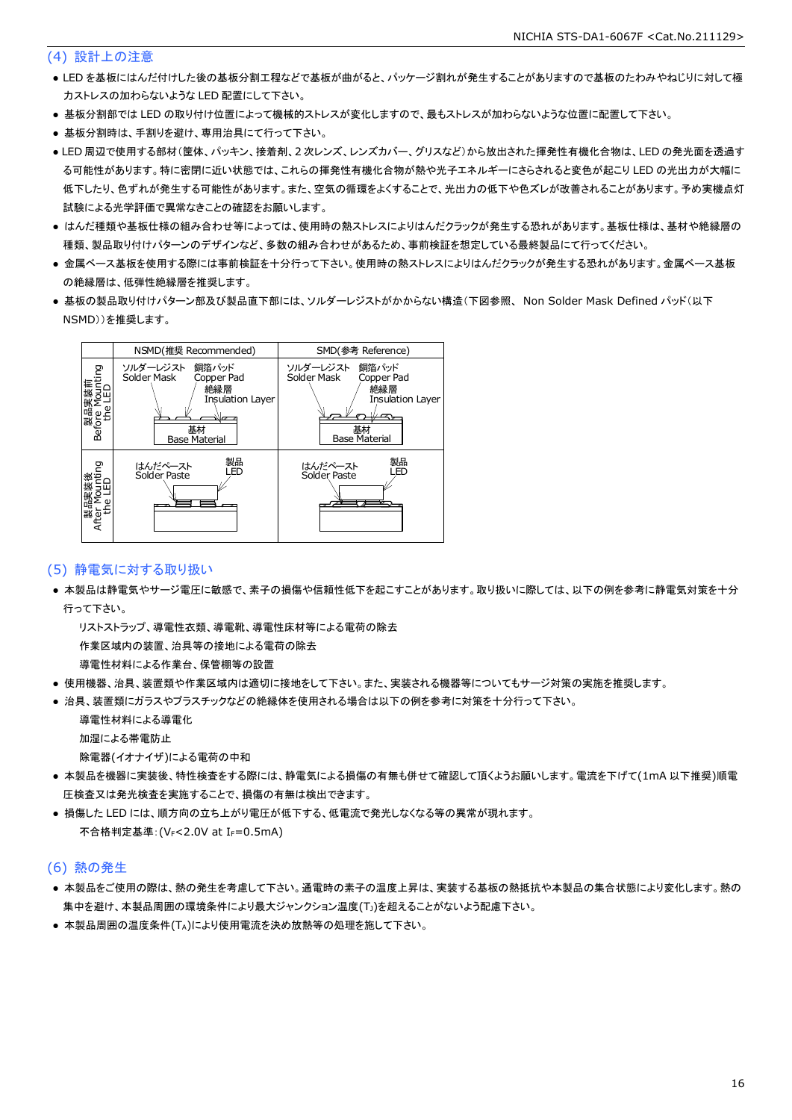#### (4) 設計上の注意

- LED を基板にはんだ付けした後の基板分割工程などで基板が曲がると、パッケージ割れが発生することがありますので基板のたわみやねじりに対して極 力ストレスの加わらないような LED 配置にして下さい。
- 基板分割部では LED の取り付け位置によって機械的ストレスが変化しますので、最もストレスが加わらないような位置に配置して下さい。
- 基板分割時は、手割りを避け、専用治具にて行って下さい。
- LED 周辺で使用する部材(筐体、パッキン、接着剤、2 次レンズ、レンズカバー、グリスなど)から放出された揮発性有機化合物は、LED の発光面を透過す る可能性があります。特に密閉に近い状態では、これらの揮発性有機化合物が熱や光子エネルギーにさらされると変色が起こり LED の光出力が大幅に 低下したり、色ずれが発生する可能性があります。また、空気の循環をよくすることで、光出力の低下や色ズレが改善されることがあります。予め実機点灯 試験による光学評価で異常なきことの確認をお願いします。
- はんだ種類や基板仕様の組み合わせ等によっては、使用時の熱ストレスによりはんだクラックが発生する恐れがあります。基板仕様は、基材や絶縁層の 種類、製品取り付けパターンのデザインなど、多数の組み合わせがあるため、事前検証を想定している最終製品にて行ってください。
- 金属ベース基板を使用する際には事前検証を十分行って下さい。使用時の熱ストレスによりはんだクラックが発生する恐れがあります。金属ベース基板 の絶縁層は、低弾性絶縁層を推奨します。
- 基板の製品取り付けパターン部及び製品直下部には、ソルダーレジストがかからない構造(下図参照、 Non Solder Mask Defined パッド(以下 NSMD))を推奨します。



#### (5) 静電気に対する取り扱い

● 本製品は静電気やサージ電圧に敏感で、素子の損傷や信頼性低下を起こすことがあります。取り扱いに際しては、以下の例を参考に静電気対策を十分 行って下さい。

 リストストラップ、導電性衣類、導電靴、導電性床材等による電荷の除去 作業区域内の装置、治具等の接地による電荷の除去

導電性材料による作業台、保管棚等の設置

- 使用機器、治具、装置類や作業区域内は適切に接地をして下さい。また、実装される機器等についてもサージ対策の実施を推奨します。
- 治具、装置類にガラスやプラスチックなどの絶縁体を使用される場合は以下の例を参考に対策を十分行って下さい。

 導電性材料による導電化 加湿による帯電防止

除電器(イオナイザ)による電荷の中和

- 本製品を機器に実装後、特性検査をする際には、静電気による損傷の有無も併せて確認して頂くようお願いします。電流を下げて(1mA 以下推奨)順電 圧検査又は発光検査を実施することで、損傷の有無は検出できます。
- 損傷した LED には、順方向の立ち上がり電圧が低下する、低電流で発光しなくなる等の異常が現れます。 不合格判定基準: (VF<2.0V at IF=0.5mA)

#### (6) 熱の発生

- 本製品をご使用の際は、熱の発生を考慮して下さい。通電時の素子の温度上昇は、実装する基板の熱抵抗や本製品の集合状態により変化します。熱の 集中を避け、本製品周囲の環境条件により最大ジャンクション温度(TJ)を超えることがないよう配慮下さい。
- 本製品周囲の温度条件(TA)により使用電流を決め放熱等の処理を施して下さい。